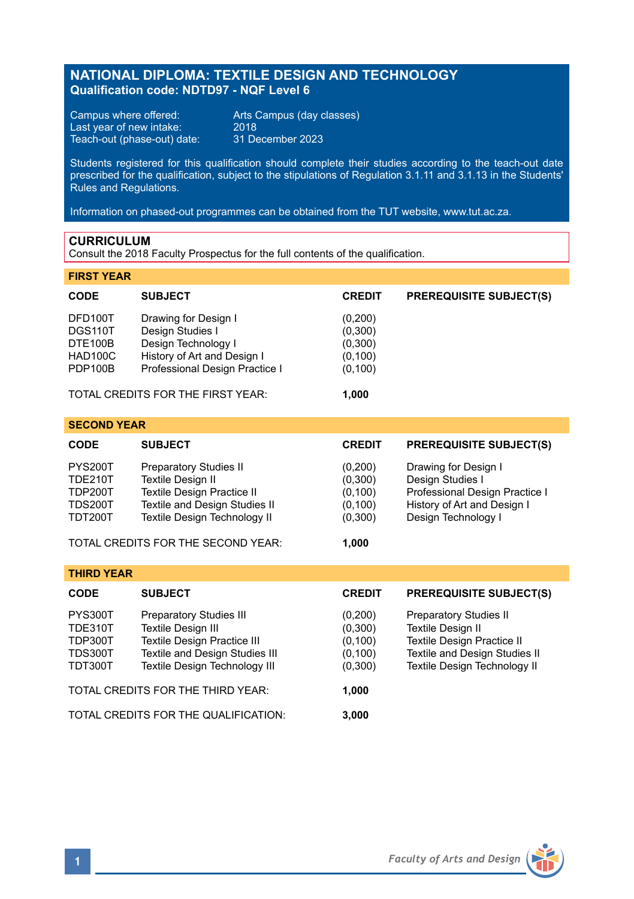# **NATIONAL DIPLOMA: TEXTILE DESIGN AND TECHNOLOGY Qualification code: NDTD97 - NQF Level 6**

Campus where offered: Arts Campus (day classes)<br>Last year of new intake: 2018 Last year of new intake: 2018 Teach-out (phase-out) date: 31 December 2023

Students registered for this qualification should complete their studies according to the teach-out date prescribed for the qualification, subject to the stipulations of Regulation 3.1.11 and 3.1.13 in the Students' Rules and Regulations.

Information on phased-out programmes can be obtained from the TUT website, www.tut.ac.za.

### **CURRICULUM**

Consult the 2018 Faculty Prospectus for the full contents of the qualification.

### **FIRST YEAR**

| <b>CODE</b>                              | <b>SUBJECT</b>                                                                                 | <b>CREDIT</b>                             | <b>PREREQUISITE SUBJECT(S)</b> |
|------------------------------------------|------------------------------------------------------------------------------------------------|-------------------------------------------|--------------------------------|
| DFD100T<br>DGS110T<br>DTE100B<br>HAD100C | Drawing for Design I<br>Design Studies I<br>Design Technology I<br>History of Art and Design I | (0,200)<br>(0,300)<br>(0,300)<br>(0, 100) |                                |
| PDP100B                                  | Professional Design Practice I<br>TOTAL CREDITS FOR THE FIRST YEAR:                            | (0, 100)<br>1.000                         |                                |

| <b>SECOND YEAR</b> |                               |               |                                |  |  |  |  |
|--------------------|-------------------------------|---------------|--------------------------------|--|--|--|--|
| <b>CODE</b>        | <b>SUBJECT</b>                | <b>CREDIT</b> | <b>PREREQUISITE SUBJECT(S)</b> |  |  |  |  |
| <b>PYS200T</b>     | Preparatory Studies II        | (0,200)       | Drawing for Design I           |  |  |  |  |
| <b>TDE210T</b>     | Textile Design II             | (0,300)       | Design Studies I               |  |  |  |  |
| <b>TDP200T</b>     | Textile Design Practice II    | (0, 100)      | Professional Design Practice I |  |  |  |  |
| <b>TDS200T</b>     | Textile and Design Studies II | (0, 100)      | History of Art and Design I    |  |  |  |  |
| <b>TDT200T</b>     | Textile Design Technology II  | (0,300)       | Design Technology I            |  |  |  |  |
|                    |                               |               |                                |  |  |  |  |

TOTAL CREDITS FOR THE SECOND YEAR: **1,000**

| <b>THIRD YEAR</b>                                          |                                                                                                                                                               |                                                       |                                                                                                                                                          |  |  |  |
|------------------------------------------------------------|---------------------------------------------------------------------------------------------------------------------------------------------------------------|-------------------------------------------------------|----------------------------------------------------------------------------------------------------------------------------------------------------------|--|--|--|
| <b>CODE</b>                                                | <b>SUBJECT</b>                                                                                                                                                | <b>CREDIT</b>                                         | <b>PREREQUISITE SUBJECT(S)</b>                                                                                                                           |  |  |  |
| PYS300T<br>TDE310T<br>TDP300T<br><b>TDS300T</b><br>TDT300T | <b>Preparatory Studies III</b><br>Textile Design III<br><b>Textile Design Practice III</b><br>Textile and Design Studies III<br>Textile Design Technology III | (0,200)<br>(0,300)<br>(0, 100)<br>(0, 100)<br>(0,300) | <b>Preparatory Studies II</b><br>Textile Design II<br><b>Textile Design Practice II</b><br>Textile and Design Studies II<br>Textile Design Technology II |  |  |  |
| TOTAL CREDITS FOR THE THIRD YEAR:                          |                                                                                                                                                               | 1.000                                                 |                                                                                                                                                          |  |  |  |
| TOTAL CREDITS FOR THE QUALIFICATION:                       |                                                                                                                                                               | 3.000                                                 |                                                                                                                                                          |  |  |  |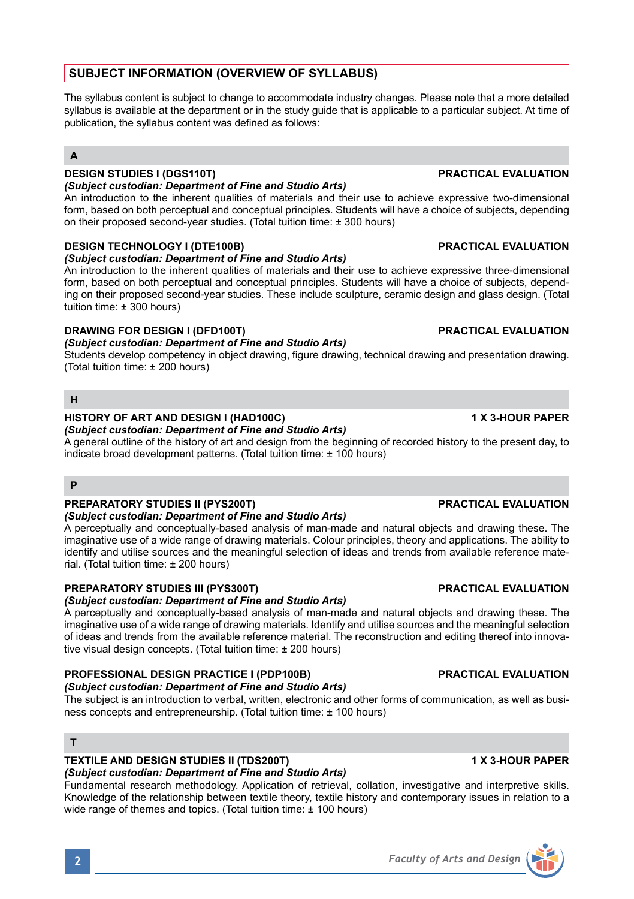# **SUBJECT INFORMATION (OVERVIEW OF SYLLABUS)**

The syllabus content is subject to change to accommodate industry changes. Please note that a more detailed syllabus is available at the department or in the study guide that is applicable to a particular subject. At time of publication, the syllabus content was defined as follows:

# **A**

# **DESIGN STUDIES I (DGS110T) PRACTICAL EVALUATION**

## *(Subject custodian: Department of Fine and Studio Arts)*

An introduction to the inherent qualities of materials and their use to achieve expressive two-dimensional form, based on both perceptual and conceptual principles. Students will have a choice of subjects, depending on their proposed second-year studies. (Total tuition time: ± 300 hours)

## **DESIGN TECHNOLOGY I (DTE100B) PRACTICAL EVALUATION**

## *(Subject custodian: Department of Fine and Studio Arts)*

An introduction to the inherent qualities of materials and their use to achieve expressive three-dimensional form, based on both perceptual and conceptual principles. Students will have a choice of subjects, depending on their proposed second-year studies. These include sculpture, ceramic design and glass design. (Total tuition time: ± 300 hours)

## **DRAWING FOR DESIGN I (DFD100T) PRACTICAL EVALUATION**

## *(Subject custodian: Department of Fine and Studio Arts)*

Students develop competency in object drawing, figure drawing, technical drawing and presentation drawing. (Total tuition time: ± 200 hours)

## **H**

# **HISTORY OF ART AND DESIGN I (HAD100C) 1 X 3-HOUR PAPER**

*(Subject custodian: Department of Fine and Studio Arts)* A general outline of the history of art and design from the beginning of recorded history to the present day, to indicate broad development patterns. (Total tuition time: ± 100 hours)

### **P**

### **PREPARATORY STUDIES II (PYS200T) PRACTICAL EVALUATION**

### *(Subject custodian: Department of Fine and Studio Arts)*

A perceptually and conceptually-based analysis of man-made and natural objects and drawing these. The imaginative use of a wide range of drawing materials. Colour principles, theory and applications. The ability to identify and utilise sources and the meaningful selection of ideas and trends from available reference material. (Total tuition time: ± 200 hours)

### **PREPARATORY STUDIES III (PYS300T) PRACTICAL EVALUATION**

### *(Subject custodian: Department of Fine and Studio Arts)*

A perceptually and conceptually-based analysis of man-made and natural objects and drawing these. The imaginative use of a wide range of drawing materials. Identify and utilise sources and the meaningful selection of ideas and trends from the available reference material. The reconstruction and editing thereof into innovative visual design concepts. (Total tuition time: ± 200 hours)

### **PROFESSIONAL DESIGN PRACTICE I (PDP100B) PRACTICAL EVALUATION** *(Subject custodian: Department of Fine and Studio Arts)*

The subject is an introduction to verbal, written, electronic and other forms of communication, as well as business concepts and entrepreneurship. (Total tuition time: ± 100 hours)

### **T**

## **TEXTILE AND DESIGN STUDIES II (TDS200T) 1 X 3-HOUR PAPER**

# *(Subject custodian: Department of Fine and Studio Arts)*

Fundamental research methodology. Application of retrieval, collation, investigative and interpretive skills. Knowledge of the relationship between textile theory, textile history and contemporary issues in relation to a wide range of themes and topics. (Total tuition time: ± 100 hours)